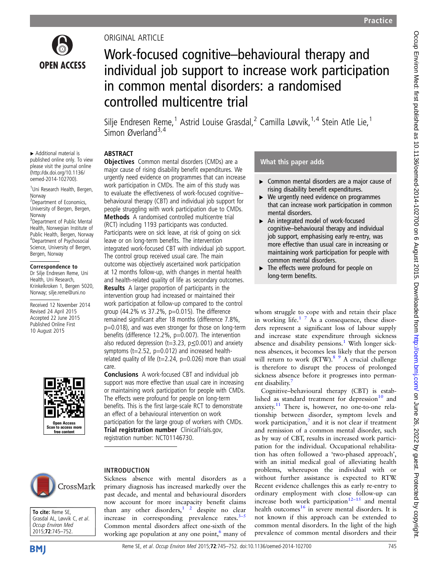

#### ORIGINAL ARTICLE

## Work-focused cognitive–behavioural therapy and individual job support to increase work participation in common mental disorders: a randomised controlled multicentre trial

Silje Endresen Reme,<sup>1</sup> Astrid Louise Grasdal,<sup>2</sup> Camilla Løvvik,<sup>1,4</sup> Stein Atle Lie,<sup>1</sup> Simon Øverland<sup>3,4</sup>

#### **ABSTRACT** Objectives Common mental disorders (CMDs) are a

▸ Additional material is published online only. To view please visit the journal online [\(http://dx.doi.org/10.1136/](http://dx.doi.org/10.1136/oemed-2014-102700) [oemed-2014-102700](http://dx.doi.org/10.1136/oemed-2014-102700)).

<sup>1</sup>Uni Research Health, Bergen, Norway

<sup>2</sup>Department of Economics, University of Bergen, Bergen, Norway

<sup>3</sup>Department of Public Mental Health, Norwegian Institute of Public Health, Bergen, Norway 4 Department of Psychosocial Science, University of Bergen, Bergen, Norway

#### Correspondence to

Dr Silje Endresen Reme, Uni Health, Uni Research, Krinkelkroken 1, Bergen 5020, Norway; silje.reme@uni.no

Received 12 November 2014 Revised 24 April 2015 Accepted 22 June 2015 Published Online First 10 August 2015



major cause of rising disability benefit expenditures. We urgently need evidence on programmes that can increase work participation in CMDs. The aim of this study was to evaluate the effectiveness of work-focused cognitive– behavioural therapy (CBT) and individual job support for people struggling with work participation due to CMDs. Methods A randomised controlled multicentre trial (RCT) including 1193 participants was conducted. Participants were on sick leave, at risk of going on sick leave or on long-term benefits. The intervention integrated work-focused CBT with individual job support. The control group received usual care. The main outcome was objectively ascertained work participation at 12 months follow-up, with changes in mental health and health-related quality of life as secondary outcomes. Results A larger proportion of participants in the intervention group had increased or maintained their work participation at follow-up compared to the control group (44.2% vs 37.2%, p=0.015). The difference remained significant after 18 months (difference 7.8%, p=0.018), and was even stronger for those on long-term benefits (difference 12.2%, p=0.007). The intervention also reduced depression (t=3.23,  $p \le 0.001$ ) and anxiety symptoms ( $t=2.52$ ,  $p=0.012$ ) and increased healthrelated quality of life (t=2.24,  $p=0.026$ ) more than usual care.

Conclusions A work-focused CBT and individual job support was more effective than usual care in increasing or maintaining work participation for people with CMDs. The effects were profound for people on long-term benefits. This is the first large-scale RCT to demonstrate an effect of a behavioural intervention on work participation for the large group of workers with CMDs. Trial registration number ClinicalTrials.gov, registration number: NCT01146730.

# CrossMark

To cite: Reme SE, Grasdal AL, Løvvik C, et al. Occup Environ Med 2015;72:745–752.



#### INTRODUCTION

Sickness absence with mental disorders as a primary diagnosis has increased markedly over the past decade, and mental and behavioural disorders now account for more incapacity benefit claims than any other disorders, $1^2$  despite no clear increase in corresponding prevalence rates. $3-5$ Common mental disorders affect one-sixth of the working age population at any one point,<sup>[6](#page-7-0)</sup> many of

#### What this paper adds

- ▶ Common mental disorders are a major cause of rising disability benefit expenditures.
- $\triangleright$  We urgently need evidence on programmes that can increase work participation in common mental disorders.
- ▸ An integrated model of work-focused cognitive–behavioural therapy and individual job support, emphasising early re-entry, was more effective than usual care in increasing or maintaining work participation for people with common mental disorders.
- ▸ The effects were profound for people on long-term benefits.

whom struggle to cope with and retain their place in working life.<sup>[1 7](#page-7-0)</sup> As a consequence, these disorders represent a significant loss of labour supply and increase state expenditure through sickness absence and disability pensions.<sup>[1](#page-7-0)</sup> With longer sickness absences, it becomes less likely that the person will return to work  $(RTW)$ .<sup>8</sup>  $\frac{9}{2}$  A crucial challenge is therefore to disrupt the process of prolonged sickness absence before it progresses into perman-ent disability.<sup>[7](#page-7-0)</sup>

Cognitive–behavioural therapy (CBT) is established as standard treatment for depression $10$  and anxiety.<sup>[11](#page-7-0)</sup> There is, however, no one-to-one relationship between disorder, symptom levels and work participation, $\frac{7}{1}$  and it is not clear if treatment and remission of a common mental disorder, such as by way of CBT, results in increased work participation for the individual. Occupational rehabilitation has often followed a 'two-phased approach', with an initial medical goal of alleviating health problems, whereupon the individual with or without further assistance is expected to RTW. Recent evidence challenges this as early re-entry to ordinary employment with close follow-up can increase both work participation $12-15$  $12-15$  and mental health outcomes $^{16}$  $^{16}$  $^{16}$  in severe mental disorders. It is not known if this approach can be extended to common mental disorders. In the light of the high prevalence of common mental disorders and their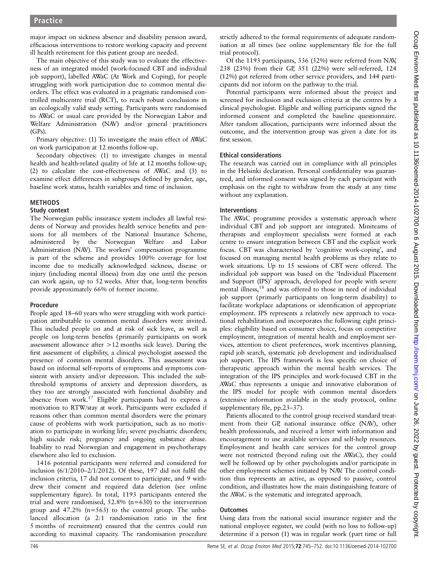major impact on sickness absence and disability pension award, efficacious interventions to restore working capacity and prevent ill health retirement for this patient group are needed.

The main objective of this study was to evaluate the effectiveness of an integrated model (work-focused CBT and individual job support), labelled AWaC (At Work and Coping), for people struggling with work participation due to common mental disorders. The effect was evaluated in a pragmatic randomised controlled multicentre trial (RCT), to reach robust conclusions in an ecologically valid study setting. Participants were randomised to AWaC or usual care provided by the Norwegian Labor and Welfare Administration (NAV) and/or general practitioners  $(GPs)$ .

Primary objective: (1) To investigate the main effect of AWaC on work participation at 12 months follow-up.

Secondary objectives: (1) to investigate changes in mental health and health-related quality of life at 12 months follow-up; (2) to calculate the cost-effectiveness of AWaC and (3) to examine effect differences in subgroups defined by gender, age, baseline work status, health variables and time of inclusion.

#### METHODS

#### Study context

The Norwegian public insurance system includes all lawful residents of Norway and provides health service benefits and pensions for all members of the National Insurance Scheme, administered by the Norwegian Welfare and Labor Administration (NAV). The workers' compensation programme is part of the scheme and provides 100% coverage for lost income due to medically acknowledged sickness, disease or injury (including mental illness) from day one until the person can work again, up to 52 weeks. After that, long-term benefits provide approximately 66% of former income.

#### Procedure

People aged 18–60 years who were struggling with work participation attributable to common mental disorders were invited. This included people on and at risk of sick leave, as well as people on long-term benefits (primarily participants on work assessment allowance after >12 months sick leave). During the first assessment of eligibility, a clinical psychologist assessed the presence of common mental disorders. This assessment was based on informal self-reports of symptoms and symptoms consistent with anxiety and/or depression. This included the subthreshold symptoms of anxiety and depression disorders, as they too are strongly associated with functional disability and absence from work.<sup>[17](#page-7-0)</sup> Eligible participants had to express a motivation to RTW/stay at work. Participants were excluded if reasons other than common mental disorders were the primary cause of problems with work participation, such as no motivation to participate in working life; severe psychiatric disorders; high suicide risk; pregnancy and ongoing substance abuse. Inability to read Norwegian and engagement in psychotherapy elsewhere also led to exclusion.

1416 potential participants were referred and considered for inclusion (6/1/2010–2/1/2012). Of these, 197 did not fulfil the inclusion criteria, 17 did not consent to participate, and 9 withdrew their consent and required data deletion (see online [supplementary](http://oem.bmj.com/lookup/suppl/doi:10.1136/oemed-2014-102700/-/DC1) figure). In total, 1193 participants entered the trial and were randomised, 52.8% (n=630) to the intervention group and  $47.2\%$  (n=563) to the control group. The unbalanced allocation (a 2:1 randomisation ratio in the first 5 months of recruitment) ensured that the centres could run according to maximal capacity. The randomisation procedure

strictly adhered to the formal requirements of adequate randomisation at all times (see online supplementary file for the full trial protocol).

Of the 1193 participants, 336 (32%) were referred from NAV, 238 (23%) from their GP, 351 (22%) were self-referred, 124 (12%) got referred from other service providers, and 144 participants did not inform on the pathway to the trial.

Potential participants were informed about the project and screened for inclusion and exclusion criteria at the centres by a clinical psychologist. Eligible and willing participants signed the informed consent and completed the baseline questionnaire. After random allocation, participants were informed about the outcome, and the intervention group was given a date for its first session.

#### Ethical considerations

The research was carried out in compliance with all principles in the Helsinki declaration. Personal confidentiality was guaranteed, and informed consent was signed by each participant with emphasis on the right to withdraw from the study at any time without any explanation.

#### Interventions

The AWaC programme provides a systematic approach where individual CBT and job support are integrated. Miniteams of therapists and employment specialists were formed at each centre to ensure integration between CBT and the explicit work focus. CBT was characterised by 'cognitive work-coping', and focused on managing mental health problems as they relate to work situations. Up to 15 sessions of CBT were offered. The individual job support was based on the 'Individual Placement and Support (IPS)' approach, developed for people with severe mental illness,<sup>[18](#page-7-0)</sup> and was offered to those in need of individual job support (primarly participants on long-term disability) to facilitate workplace adaptations or identification of appropriate employment. IPS represents a relatively new approach to vocational rehabilitation and incorporates the following eight principles: eligibility based on consumer choice, focus on competitive employment, integration of mental health and employment services, attention to client preferences, work incentives planning, rapid job search, systematic job development and individualised job support. The IPS framework is less specific on choice of therapeutic approach within the mental health services. The integration of the IPS principles and work-focused CBT in the AWaC thus represents a unique and innovative elaboration of the IPS model for people with common mental disorders (extensive information available in the study protocol, online supplementary file, pp.23–37).

Patients allocated to the control group received standard treatment from their GP, national insurance office (NAV), other health professionals, and received a letter with information and encouragement to use available services and self-help resources. Employment and health care services for the control group were not restricted (beyond ruling out the AWaC), they could well be followed up by other psychologists and/or participate in other employment schemes initiated by NAV. The control condition thus represents an active, as opposed to passive, control condition, and illustrates how the main distinguishing feature of the AWaC is the systematic and integrated approach.

#### **Outcomes**

Using data from the national social insurance register and the national employee register, we could (with no loss to follow-up) determine if a person (1) was in regular work (part time or full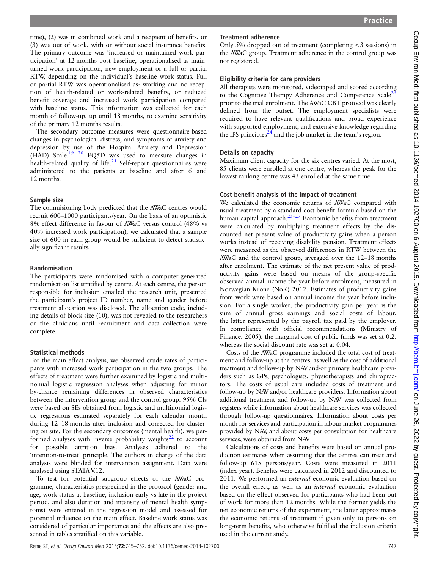Occup Environ Med: first published as 10.1136/oemed-2014-102700 on 6 August 2015. Downloaded from http://oem.bmj.com/ on June 26, 2022 by guest. Protected by copyright Occup Environ Med: first published as 10.1136/oemed-2014-102700 on 6 August 2015. Downloaded from Mtp://oem.bmj.com/ on June 26, 2022 by guest. Protected by copyright.

time), (2) was in combined work and a recipient of benefits, or (3) was out of work, with or without social insurance benefits. The primary outcome was 'increased or maintained work participation' at 12 months post baseline, operationalised as maintained work participation, new employment or a full or partial RTW, depending on the individual's baseline work status. Full or partial RTW was operationalised as: working and no reception of health-related or work-related benefits, or reduced benefit coverage and increased work participation compared with baseline status. This information was collected for each month of follow-up, up until 18 months, to examine sensitivity of the primary 12 months results.

The secondary outcome measures were questionnaire-based changes in psychological distress, and symptoms of anxiety and depression by use of the Hospital Anxiety and Depression (HAD) Scale.[19 20](#page-7-0) EQ5D was used to measure changes in health-related quality of life.<sup>[21](#page-7-0)</sup> Self-report questionnaires were administered to the patients at baseline and after 6 and 12 months.

#### Sample size

The commisioning body predicted that the AWaC centres would recruit 600–1000 participants/year. On the basis of an optimistic 8% effect difference in favour of AWaC versus control (48% vs 40% increased work participation), we calculated that a sample size of 600 in each group would be sufficient to detect statistically significant results.

#### Randomisation

The participants were randomised with a computer-generated randomisation list stratified by centre. At each centre, the person responsible for inclusion emailed the research unit, presented the participant's project ID number, name and gender before treatment allocation was disclosed. The allocation code, including details of block size (10), was not revealed to the researchers or the clinicians until recruitment and data collection were complete.

#### Statistical methods

For the main effect analysis, we observed crude rates of participants with increased work participation in the two groups. The effects of treatment were further examined by logistic and multinomial logistic regression analyses when adjusting for minor by-chance remaining differences in observed characteristics between the intervention group and the control group. 95% CIs were based on SEs obtained from logistic and multinomial logistic regressions estimated separately for each calendar month during 12–18 months after inclusion and corrected for clustering on site. For the secondary outcomes (mental health), we performed analyses with inverse probability weights $22$  to account for possible attrition bias. Analyses adhered to the 'intention-to-treat' principle. The authors in charge of the data analysis were blinded for intervention assignment. Data were analysed using STATA V.12.

To test for potential subgroup effects of the AWaC programme, characteristics prespecified in the protocol (gender and age, work status at baseline, inclusion early vs late in the project period, and also duration and intensity of mental health symptoms) were entered in the regression model and assessed for potential influence on the main effect. Baseline work status was considered of particular importance and the effects are also presented in tables stratified on this variable.

#### Treatment adherence

Only 5% dropped out of treatment (completing <3 sessions) in the AWaC group. Treatment adherence in the control group was not registered.

#### Eligibility criteria for care providers

All therapists were monitored, videotaped and scored according to the Cognitive Therapy Adherence and Competence Scale<sup>[23](#page-7-0)</sup> prior to the trial enrolment. The AWaC CBT protocol was clearly defined from the outset. The employment specialists were required to have relevant qualifications and broad experience with supported employment, and extensive knowledge regarding the IPS principles<sup>[24](#page-7-0)</sup> and the job market in the team's region.

#### Details on capacity

Maximum client capacity for the six centres varied. At the most, 85 clients were enrolled at one centre, whereas the peak for the lowest ranking centre was 43 enrolled at the same time.

#### Cost-benefit analysis of the impact of treatment

We calculated the economic returns of AWaC compared with usual treatment by a standard cost-benefit formula based on the human capital approach.<sup>[25](#page-7-0)–27</sup> Economic benefits from treatment were calculated by multiplying treatment effects by the discounted net present value of productivity gains when a person works instead of receiving disability pension. Treatment effects were measured as the observed differences in RTW between the AWaC and the control group, averaged over the 12–18 months after enrolment. The estimate of the net present value of productivity gains were based on means of the group-specific observed annual income the year before enrolment, measured in Norwegian Krone (NoK) 2012. Estimates of productivity gains from work were based on annual income the year before inclusion. For a single worker, the productivity gain per year is the sum of annual gross earnings and social costs of labour, the latter represented by the payroll tax paid by the employer. In compliance with official recommendations (Ministry of Finance, 2005), the marginal cost of public funds was set at 0.2, whereas the social discount rate was set at 0.04.

Costs of the AWaC programme included the total cost of treatment and follow-up at the centres, as well as the cost of additional treatment and follow-up by NAV and/or primary healthcare providers such as GPs, psychologists, physiotherapists and chiropractors. The costs of usual care included costs of treatment and follow-up by NAV and/or healthcare providers. Information about additional treatment and follow-up by NAV was collected from registers while information about healthcare services was collected through follow-up questionnaires. Information about costs per month for services and participation in labour market programmes provided by NAV, and about costs per consultation for healthcare services, were obtained from NAV.

Calculations of costs and benefits were based on annual production estimates when assuming that the centres can treat and follow-up 615 persons/year. Costs were measured in 2011 (index year). Benefits were calculated in 2012 and discounted to 2011. We performed an external economic evaluation based on the overall effect, as well as an internal economic evaluation based on the effect observed for participants who had been out of work for more than 12 months. While the former yields the net economic returns of the experiment, the latter approximates the economic returns of treatment if given only to persons on long-term benefits, who otherwise fulfilled the inclusion criteria used in the current study.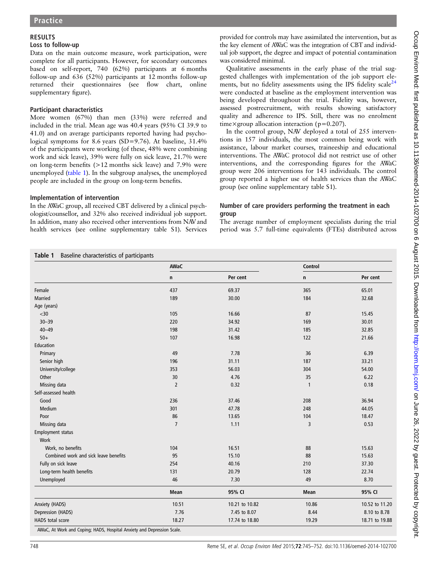### RESULTS

#### Loss to follow-up

Data on the main outcome measure, work participation, were complete for all participants. However, for secondary outcomes based on self-report, 740 (62%) participants at 6 months follow-up and 636 (52%) participants at 12 months follow-up returned their questionnaires (see flow chart, online [supplementary](http://oem.bmj.com/lookup/suppl/doi:10.1136/oemed-2014-102700/-/DC1) figure).

#### Participant characteristics

More women (67%) than men (33%) were referred and included in the trial. Mean age was 40.4 years (95% CI 39.9 to 41.0) and on average participants reported having had psychological symptoms for 8.6 years (SD=9.76). At baseline, 31.4% of the participants were working (of these, 48% were combining work and sick leave), 39% were fully on sick leave, 21.7% were on long-term benefits (>12 months sick leave) and 7.9% were unemployed (table 1). In the subgroup analyses, the unemployed people are included in the group on long-term benefits.

#### Implementation of intervention

Table 1 Baseline characteristics of participants

In the AWaC group, all received CBT delivered by a clinical psychologist/counsellor, and 32% also received individual job support. In addition, many also received other interventions from NAV and health services (see online [supplementary table](http://oem.bmj.com/lookup/suppl/doi:10.1136/oemed-2014-102700/-/DC1) S1). Services

provided for controls may have assimilated the intervention, but as the key element of AWaC was the integration of CBT and individual job support, the degree and impact of potential contamination was considered minimal.

Qualitative assessments in the early phase of the trial suggested challenges with implementation of the job support ele-ments, but no fidelity assessments using the IPS fidelity scale<sup>[24](#page-7-0)</sup> were conducted at baseline as the employment intervention was being developed throughout the trial. Fidelity was, however, assessed postrecruitment, with results showing satisfactory quality and adherence to IPS. Still, there was no enrolment time×group allocation interaction ( $p=0.207$ ).

In the control group, NAV deployed a total of 255 interventions in 157 individuals, the most common being work with assistance, labour market courses, traineeship and educational interventions. The AWaC protocol did not restrict use of other interventions, and the corresponding figures for the AWaC group were 206 interventions for 143 individuals. The control group reported a higher use of health services than the AWaC group (see online [supplementary table](http://oem.bmj.com/lookup/suppl/doi:10.1136/oemed-2014-102700/-/DC1) S1).

#### Number of care providers performing the treatment in each group

The average number of employment specialists during the trial period was 5.7 full-time equivalents (FTEs) distributed across

|                                       | AWaC           |                | Control        |                |
|---------------------------------------|----------------|----------------|----------------|----------------|
|                                       | n              | Per cent       | n              | Per cent       |
| Female                                | 437            | 69.37          | 365            | 65.01          |
| Married                               | 189            | 30.00          | 184            | 32.68          |
| Age (years)                           |                |                |                |                |
| $30$                                  | 105            | 16.66          | 87             | 15.45          |
| $30 - 39$                             | 220            | 34.92          | 169            | 30.01          |
| $40 - 49$                             | 198            | 31.42          | 185            | 32.85          |
| $50+$                                 | 107            | 16.98          | 122            | 21.66          |
| Education                             |                |                |                |                |
| Primary                               | 49             | 7.78           | 36             | 6.39           |
| Senior high                           | 196            | 31.11          | 187            | 33.21          |
| University/college                    | 353            | 56.03          | 304            | 54.00          |
| Other                                 | 30             | 4.76           | 35             | 6.22           |
| Missing data                          | $\overline{2}$ | 0.32           | $\mathbf{1}$   | 0.18           |
| Self-assessed health                  |                |                |                |                |
| Good                                  | 236            | 37.46          | 208            | 36.94          |
| Medium                                | 301            | 47.78          | 248            | 44.05          |
| Poor                                  | 86             | 13.65          | 104            | 18.47          |
| Missing data                          | $\overline{7}$ | 1.11           | $\overline{3}$ | 0.53           |
| Employment status                     |                |                |                |                |
| <b>Work</b>                           |                |                |                |                |
| Work, no benefits                     | 104            | 16.51          | 88             | 15.63          |
| Combined work and sick leave benefits | 95             | 15.10          | 88             | 15.63          |
| Fully on sick leave                   | 254            | 40.16          | 210            | 37.30          |
| Long-term health benefits             | 131            | 20.79          | 128            | 22.74          |
| Unemployed                            | 46             | 7.30           | 49             | 8.70           |
|                                       | Mean           | 95% CI         | Mean           | 95% CI         |
| Anxiety (HADS)                        | 10.51          | 10.21 to 10.82 | 10.86          | 10.52 to 11.20 |
| Depression (HADS)                     | 7.76           | 7.45 to 8.07   | 8.44           | 8.10 to 8.78   |
| HADS total score                      | 18.27          | 17.74 to 18.80 | 19.29          | 18.71 to 19.88 |

AWaC, At Work and Coping; HADS, Hospital Anxiety and Depression Scale.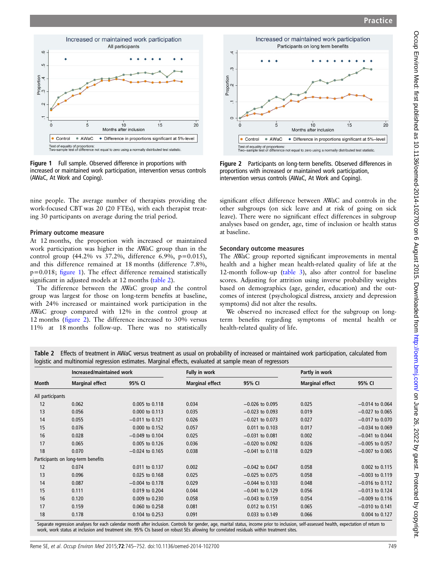

Figure 1 Full sample. Observed difference in proportions with increased or maintained work participation, intervention versus controls (AWaC, At Work and Coping).

nine people. The average number of therapists providing the work-focused CBT was 20 (20 FTEs), with each therapist treating 30 participants on average during the trial period.

#### Primary outcome measure

At 12 months, the proportion with increased or maintained work participation was higher in the AWaC group than in the control group  $(44.2\% \text{ vs } 37.2\%$ , difference  $6.9\%$ ,  $p=0.015$ ), and this difference remained at 18 months (difference 7.8%, p=0.018; figure 1). The effect difference remained statistically significant in adjusted models at 12 months (table 2).

The difference between the AWaC group and the control group was largest for those on long-term benefits at baseline, with 24% increased or maintained work participation in the AWaC group compared with 12% in the control group at 12 months (figure 2). The difference increased to 30% versus 11% at 18 months follow-up. There was no statistically



Figure 2 Participants on long-term benefits. Observed differences in proportions with increased or maintained work participation, intervention versus controls (AWaC, At Work and Coping).

significant effect difference between AWaC and controls in the other subgroups (on sick leave and at risk of going on sick leave). There were no significant effect differences in subgroup analyses based on gender, age, time of inclusion or health status at baseline.

#### Secondary outcome measures

The AWaC group reported significant improvements in mental health and a higher mean health-related quality of life at the 12-month follow-up [\(table 3](#page-5-0)), also after control for baseline scores. Adjusting for attrition using inverse probability weights based on demographics (age, gender, education) and the outcomes of interest (psychological distress, anxiety and depression symptoms) did not alter the results.

We observed no increased effect for the subgroup on longterm benefits regarding symptoms of mental health or health-related quality of life.

Table 2 Effects of treatment in AWaC versus treatment as usual on probability of increased or maintained work participation, calculated from logistic and multinomial regression estimates. Marginal effects, evaluated at sample mean of regressors

|                  |                                    | Increased/maintained work |                        |                   | Partly in work         |                   |  |
|------------------|------------------------------------|---------------------------|------------------------|-------------------|------------------------|-------------------|--|
| <b>Month</b>     | <b>Marginal effect</b>             | 95% CI                    | <b>Marginal effect</b> | 95% CI            | <b>Marginal effect</b> | 95% CI            |  |
| All participants |                                    |                           |                        |                   |                        |                   |  |
| 12               | 0.062                              | 0.005 to 0.118            | 0.034                  | $-0.026$ to 0.095 | 0.025                  | $-0.014$ to 0.064 |  |
| 13               | 0.056                              | 0.000 to 0.113            | 0.035                  | $-0.023$ to 0.093 | 0.019                  | $-0.027$ to 0.065 |  |
| 14               | 0.055                              | $-0.011$ to 0.121         | 0.026                  | $-0.021$ to 0.073 | 0.027                  | $-0.017$ to 0.070 |  |
| 15               | 0.076                              | 0.000 to 0.152            | 0.057                  | 0.011 to 0.103    | 0.017                  | $-0.034$ to 0.069 |  |
| 16               | 0.028                              | $-0.049$ to 0.104         | 0.025                  | $-0.031$ to 0.081 | 0.002                  | $-0.041$ to 0.044 |  |
| 17               | 0.065                              | 0.005 to 0.126            | 0.036                  | $-0.020$ to 0.092 | 0.026                  | $-0.005$ to 0.057 |  |
| 18               | 0.070                              | $-0.024$ to 0.165         | 0.038                  | $-0.041$ to 0.118 | 0.029                  | $-0.007$ to 0.065 |  |
|                  | Participants on long-term benefits |                           |                        |                   |                        |                   |  |
| 12               | 0.074                              | 0.011 to 0.137            | 0.002                  | $-0.042$ to 0.047 | 0.058                  | 0.002 to 0.115    |  |
| 13               | 0.096                              | 0.025 to 0.168            | 0.025                  | $-0.025$ to 0.075 | 0.058                  | $-0.003$ to 0.119 |  |
| 14               | 0.087                              | $-0.004$ to 0.178         | 0.029                  | $-0.044$ to 0.103 | 0.048                  | $-0.016$ to 0.112 |  |
| 15               | 0.111                              | 0.019 to 0.204            | 0.044                  | $-0.041$ to 0.129 | 0.056                  | $-0.013$ to 0.124 |  |
| 16               | 0.120                              | 0.009 to 0.230            | 0.058                  | $-0.043$ to 0.159 | 0.054                  | $-0.009$ to 0.116 |  |
| 17               | 0.159                              | 0.060 to 0.258            | 0.081                  | 0.012 to 0.151    | 0.065                  | $-0.010$ to 0.141 |  |
| 18               | 0.178                              | 0.104 to 0.253            | 0.091                  | 0.033 to 0.149    | 0.066                  | 0.004 to 0.127    |  |

Separate regression analyses for each calendar month after inclusion. Controls for gender, age, marital status, income prior to inclusion, self-assessed health, expectation of return to work, work status at inclusion and treatment site. 95% CIs based on robust SEs allowing for correlated residuals within treatment sites.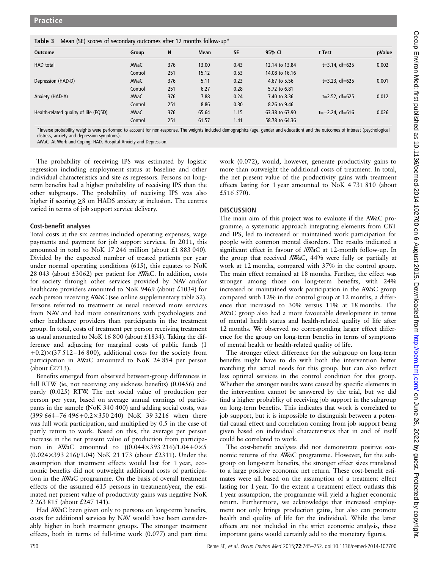<span id="page-5-0"></span>

| Table 3<br>Mean (SE) scores of secondary outcomes after 12 months follow-up* |         |     |             |           |                |                    |        |
|------------------------------------------------------------------------------|---------|-----|-------------|-----------|----------------|--------------------|--------|
| <b>Outcome</b>                                                               | Group   | N   | <b>Mean</b> | <b>SE</b> | 95% CI         | t Test             | pValue |
| HAD total                                                                    | AWaC    | 376 | 13.00       | 0.43      | 12.14 to 13.84 | $t=3.14$ , df=625  | 0.002  |
|                                                                              | Control | 251 | 15.12       | 0.53      | 14.08 to 16.16 |                    |        |
| Depression (HAD-D)                                                           | AWaC    | 376 | 5.11        | 0.23      | 4.67 to 5.56   | $t=3.23$ , df=625  | 0.001  |
|                                                                              | Control | 251 | 6.27        | 0.28      | 5.72 to 6.81   |                    |        |
| Anxiety (HAD-A)                                                              | AWaC    | 376 | 7.88        | 0.24      | 7.40 to 8.36   | $t=2.52$ , df=625  | 0.012  |
|                                                                              | Control | 251 | 8.86        | 0.30      | 8.26 to 9.46   |                    |        |
| Health-related quality of life (EQ5D)                                        | AWaC    | 376 | 65.64       | 1.15      | 63.38 to 67.90 | $t=-2.24$ , df=616 | 0.026  |
|                                                                              | Control | 251 | 61.57       | 1.41      | 58.78 to 64.36 |                    |        |

\*Inverse probability weights were performed to account for non-response. The weights included demographics (age, gender and education) and the outcomes of interest (psychological distress, anxiety and depression symptoms).

AWaC, At Work and Coping; HAD, Hospital Anxiety and Depression.

The probability of receiving IPS was estimated by logistic regression including employment status at baseline and other individual characteristics and site as regressors. Persons on longterm benefits had a higher probability of receiving IPS than the other subgroups. The probability of receiving IPS was also higher if scoring ≥8 on HADS anxiety at inclusion. The centres varied in terms of job support service delivery.

#### Cost-benefit analyses

Total costs at the six centres included operating expenses, wage payments and payment for job support services. In 2011, this amounted in total to NoK 17 246 million (about £1 883 040). Divided by the expected number of treated patients per year under normal operating conditions (615), this equates to NoK 28 043 (about £3062) per patient for AWaC. In addition, costs for society through other services provided by NAV and/or healthcare providers amounted to NoK 9469 (about £1034) for each person receiving AWaC (see online [supplementary table](http://oem.bmj.com/lookup/suppl/doi:10.1136/oemed-2014-102700/-/DC1) S2). Persons referred to treatment as usual received more services from NAV and had more consultations with psychologists and other healthcare providers than participants in the treatment group. In total, costs of treatment per person receiving treatment as usual amounted to NoK 16 800 (about £1834). Taking the difference and adjusting for marginal costs of public funds (1 +0.2)×(37 512−16 800), additional costs for the society from participation in AWaC amounted to NoK 24 854 per person (about £2713).

Benefits emerged from observed between-group differences in full RTW (ie, not receiving any sickness benefits) (0.0456) and partly (0.025) RTW. The net social value of production per person per year, based on average annual earnings of participants in the sample (NoK 340 400) and adding social costs, was (399 664−76 496+0.2×350 240) NoK 39 3216 when there was full work participation, and multiplied by 0.5 in the case of partly return to work. Based on this, the average per person increase in the net present value of production from participation in AWaC amounted to  $((0.044 \times 393 \times 216)/1.04 + 0 \times 5$ (0.024×393 216)/1.04) NoK 21 173 (about £2311). Under the assumption that treatment effects would last for 1 year, economic benefits did not outweight additional costs of participation in the AWaC programme. On the basis of overall treatment effects of the assumed 615 persons in treatment/year, the estimated net present value of productivity gains was negative NoK 2 263 815 (about £247 141).

Had AWaC been given only to persons on long-term benefits, costs for additional services by NAV would have been considerably higher in both treatment groups. The stronger treatment effects, both in terms of full-time work (0.077) and part time work (0.072), would, however, generate productivity gains to more than outweight the additional costs of treatment. In total, the net present value of the productivity gains with treatment effects lasting for 1 year amounted to NoK 4 731 810 (about £516 570).

#### **DISCUSSION**

The main aim of this project was to evaluate if the AWaC programme, a systematic approach integrating elements from CBT and IPS, led to increased or maintained work participation for people with common mental disorders. The results indicated a significant effect in favour of AWaC at 12-month follow-up. In the group that received AWaC, 44% were fully or partially at work at 12 months, compared with 37% in the control group. The main effect remained at 18 months. Further, the effect was stronger among those on long-term benefits, with 24% increased or maintained work participation in the AWaC group compared with 12% in the control group at 12 months, a difference that increased to 30% versus 11% at 18 months. The AWaC group also had a more favourable development in terms of mental health status and health-related quality of life after 12 months. We observed no corresponding larger effect difference for the group on long-term benefits in terms of symptoms of mental health or health-related quality of life.

The stronger effect difference for the subgroup on long-term benefits might have to do with both the intervention better matching the actual needs for this group, but can also reflect less optimal services in the control condition for this group. Whether the stronger results were caused by specific elements in the intervention cannot be answered by the trial, but we did find a higher probablity of receiving job support in the subgroup on long-term benefits. This indicates that work is correlated to job support, but it is impossible to distinguish between a potential causal effect and correlation coming from job support being given based on individual characteristics that in and of itself could be correlated to work.

The cost-benefit analyses did not demonstrate positive economic returns of the AWaC programme. However, for the subgroup on long-term benefits, the stronger effect sizes translated to a large positive economic net return. These cost-benefit estimates were all based on the assumption of a treatment effect lasting for 1 year. To the extent a treatment effect outlasts this 1 year assumption, the programme will yield a higher economic return. Furthermore, we acknowledge that increased employment not only brings production gains, but also can promote health and quality of life for the individual. While the latter effects are not included in the strict economic analysis, these important gains would certainly add to the monetary figures.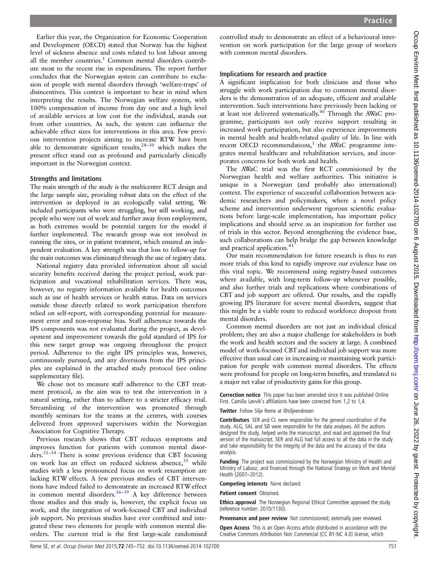Earlier this year, the Organization for Economic Cooperation and Development (OECD) stated that Norway has the highest level of sickness absence and costs related to lost labour among all the member countries.<sup>[1](#page-7-0)</sup> Common mental disorders contribute most to the recent rise in expenditures. The report further concludes that the Norwegian system can contribute to exclusion of people with mental disorders through 'welfare-traps' of disincentives. This context is important to bear in mind when interpreting the results. The Norwegian welfare system, with 100% compensation of income from day one and a high level of available services at low cost for the individual, stands out from other countries. As such, the system can influence the achievable effect sizes for interventions in this area. Few previous intervention projects aiming to increase RTW have been able to demonstrate significant results, $28-30$  $28-30$  which makes the present effect stand out as profound and particularly clinically important in the Norwegian context.

#### Strengths and limitations

The main strength of the study is the multicentre RCT design and the large sample size, providing robust data on the effect of the intervention as deployed in an ecologically valid setting. We included participants who were struggling, but still working, and people who were out of work and further away from employment, as both extremes would be potential targets for the model if further implemented. The research group was not involved in running the sites, or in patient treatment, which ensured an independent evaluation. A key strength was that loss to follow-up for the main outcomes was eliminated through the use of registry data.

National registry data provided information about all social security benefits received during the project period, work participation and vocational rehabilitation services. There was, however, no registry information available for health outcomes such as use of health services or health status. Data on services outside those directly related to work participation therefore relied on self-report, with corresponding potential for measurement error and non-response bias. Staff adherence towards the IPS components was not evaluated during the project, as development and improvement towards the gold standard of IPS for this new target group was ongoing throughout the project period. Adherence to the eight IPS principles was, however, continuously pursued, and any diversions from the IPS principles are explained in the attached study protocol (see online supplementary file).

We chose not to measure staff adherence to the CBT treatment protocol, as the aim was to test the intervention in a natural setting, rather than to adhere to a stricter efficacy trial. Streamlining of the intervention was promoted through monthly seminars for the teams at the centres, with courses delivered from approved supervisors within the Norwegian Association for Cognitive Therapy.

Previous research shows that CBT reduces symptoms and improves function for patients with common mental disorders. $31-34$  There is some previous evidence that CBT focusing on work has an effect on reduced sickness absence,  $35$  while studies with a less pronounced focus on work resumption are lacking RTW effects. A few previous studies of CBT interventions have indeed failed to demonstrate an increased RTW effect in common mental disorders.<sup>[36](#page-7-0)-39</sup> A key difference between those studies and this study is, however, the explicit focus on work, and the integration of work-focused CBT and individual job support. No previous studies have ever combined and integrated these two elements for people with common mental disorders. The current trial is the first large-scale randomised

controlled study to demonstrate an effect of a behavioural intervention on work participation for the large group of workers with common mental disorders.

#### Implications for research and practice

A significant implication for both clinicians and those who struggle with work participation due to common mental disorders is the demonstration of an adequate, efficient and available intervention. Such interventions have previously been lacking or at least not delivered systematically.<sup>[40](#page-7-0)</sup> Through the AWaC programme, participants not only receive support resulting in increased work participation, but also experience improvements in mental health and health-related quality of life. In line with recent OECD recommendations, $<sup>1</sup>$  $<sup>1</sup>$  $<sup>1</sup>$  the AWaC programme inte-</sup> grates mental healthcare and rehabilitation services, and incorporates concerns for both work and health.

The AWaC trial was the first RCT commisioned by the Norwegian health and welfare authorities. This initiative is unique in a Norwegian (and probably also international) context. The experience of successful collaboration between academic researchers and policymakers, where a novel policy scheme and intervention underwent rigorous scientific evaluations before large-scale implementation, has important policy implications and should serve as an inspiration for further use of trials in this sector. Beyond strengthening the evidence base, such collaborations can help bridge the gap between knowledge and practical application.<sup>[41](#page-7-0)</sup>

Our main recommendation for future research is thus to run more trials of this kind to rapidly improve our evidence base on this vital topic. We recommend using registry-based outcomes where available, with long-term follow-up whenever possible, and also further trials and replications where combinations of CBT and job support are offered. Our results, and the rapidly growing IPS literature for severe mental disorders, suggest that this might be a viable route to reduced workforce dropout from mental disorders.

Common mental disorders are not just an individual clinical problem; they are also a major challenge for stakeholders in both the work and health sectors and the society at large. A combined model of work-focused CBT and individual job support was more effective than usual care in increasing or maintaining work participation for people with common mental disorders. The effects were profound for people on long-term benefits, and translated to a major net value of productivity gains for this group.

Correction notice This paper has been amended since it was published Online First. Camilla Løvvik's affiliations have been corrected from 1,2 to 1,4.

Twitter Follow Silje Reme at [@siljeendresen](http://twitter.com/siljeendresen)

Contributors SER and CL were responsible for the general coordination of the study. ALG, SAL and SØ were responsible for the data analyses. All the authors designed the study, helped write the manuscript, and read and approved the final version of the manuscript. SER and ALG had full access to all the data in the study and take responsibility for the integrity of the data and the accuracy of the data analysis.

Funding The project was commissioned by the Norwegian Ministry of Health and Ministry of Labour, and financed through the National Strategy on Work and Mental Health (2007–2012).

Competing interests None declared.

Patient consent Obtained.

**Ethics approval** The Norwegian Regional Ethical Committee approved the study (reference number: 2010/1130).

Provenance and peer review Not commissioned; externally peer reviewed.

Open Access This is an Open Access article distributed in accordance with the Creative Commons Attribution Non Commercial (CC BY-NC 4.0) license, which